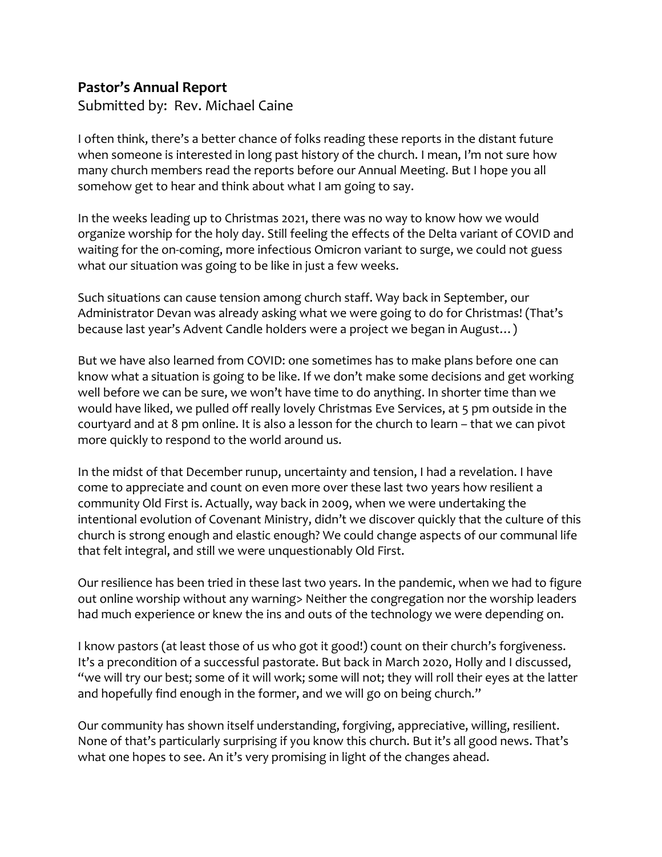## **Pastor's Annual Report**

Submitted by: Rev. Michael Caine

I often think, there's a better chance of folks reading these reports in the distant future when someone is interested in long past history of the church. I mean, I'm not sure how many church members read the reports before our Annual Meeting. But I hope you all somehow get to hear and think about what I am going to say.

In the weeks leading up to Christmas 2021, there was no way to know how we would organize worship for the holy day. Still feeling the effects of the Delta variant of COVID and waiting for the on-coming, more infectious Omicron variant to surge, we could not guess what our situation was going to be like in just a few weeks.

Such situations can cause tension among church staff. Way back in September, our Administrator Devan was already asking what we were going to do for Christmas! (That's because last year's Advent Candle holders were a project we began in August…)

But we have also learned from COVID: one sometimes has to make plans before one can know what a situation is going to be like. If we don't make some decisions and get working well before we can be sure, we won't have time to do anything. In shorter time than we would have liked, we pulled off really lovely Christmas Eve Services, at 5 pm outside in the courtyard and at 8 pm online. It is also a lesson for the church to learn – that we can pivot more quickly to respond to the world around us.

In the midst of that December runup, uncertainty and tension, I had a revelation. I have come to appreciate and count on even more over these last two years how resilient a community Old First is. Actually, way back in 2009, when we were undertaking the intentional evolution of Covenant Ministry, didn't we discover quickly that the culture of this church is strong enough and elastic enough? We could change aspects of our communal life that felt integral, and still we were unquestionably Old First.

Our resilience has been tried in these last two years. In the pandemic, when we had to figure out online worship without any warning> Neither the congregation nor the worship leaders had much experience or knew the ins and outs of the technology we were depending on.

I know pastors (at least those of us who got it good!) count on their church's forgiveness. It's a precondition of a successful pastorate. But back in March 2020, Holly and I discussed, "we will try our best; some of it will work; some will not; they will roll their eyes at the latter and hopefully find enough in the former, and we will go on being church."

Our community has shown itself understanding, forgiving, appreciative, willing, resilient. None of that's particularly surprising if you know this church. But it's all good news. That's what one hopes to see. An it's very promising in light of the changes ahead.